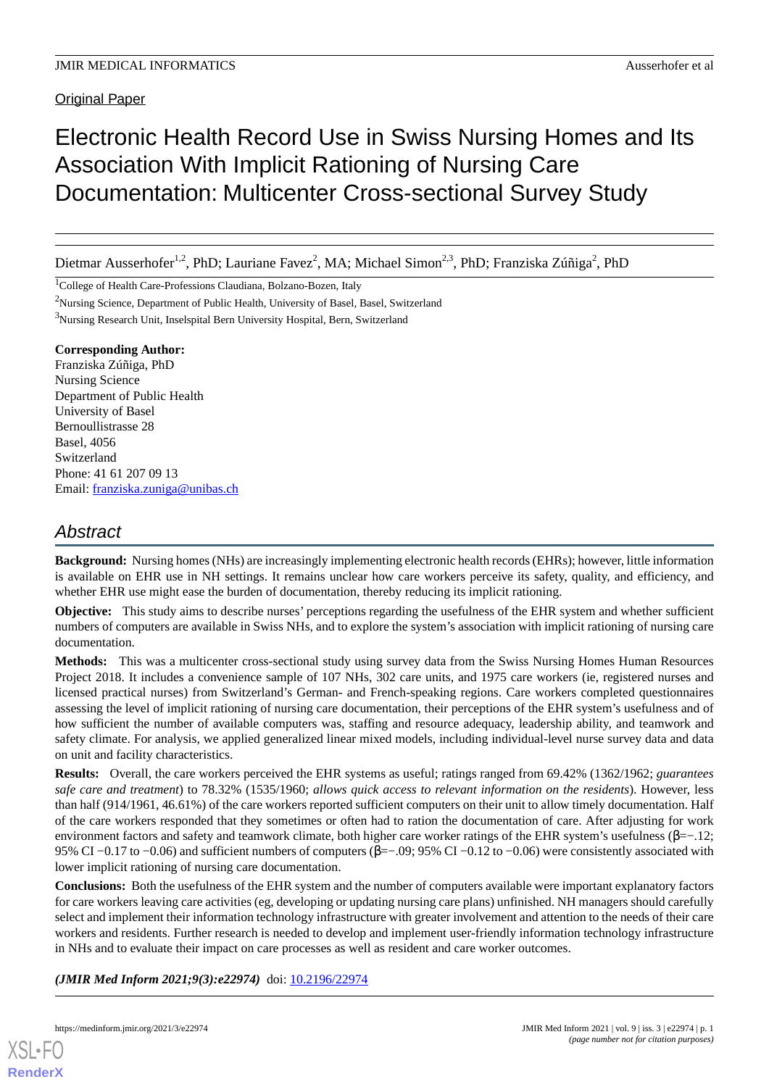### Original Paper

# Electronic Health Record Use in Swiss Nursing Homes and Its Association With Implicit Rationing of Nursing Care Documentation: Multicenter Cross-sectional Survey Study

Dietmar Ausserhofer<sup>1,2</sup>, PhD; Lauriane Favez<sup>2</sup>, MA; Michael Simon<sup>2,3</sup>, PhD; Franziska Zúñiga<sup>2</sup>, PhD

<sup>1</sup>College of Health Care-Professions Claudiana, Bolzano-Bozen, Italy

<sup>2</sup>Nursing Science, Department of Public Health, University of Basel, Basel, Switzerland

<sup>3</sup>Nursing Research Unit, Inselspital Bern University Hospital, Bern, Switzerland

### **Corresponding Author:**

Franziska Zúñiga, PhD Nursing Science Department of Public Health University of Basel Bernoullistrasse 28 Basel, 4056 Switzerland Phone: 41 61 207 09 13 Email: [franziska.zuniga@unibas.ch](mailto:franziska.zuniga@unibas.ch)

## *Abstract*

**Background:** Nursing homes (NHs) are increasingly implementing electronic health records (EHRs); however, little information is available on EHR use in NH settings. It remains unclear how care workers perceive its safety, quality, and efficiency, and whether EHR use might ease the burden of documentation, thereby reducing its implicit rationing.

**Objective:** This study aims to describe nurses' perceptions regarding the usefulness of the EHR system and whether sufficient numbers of computers are available in Swiss NHs, and to explore the system's association with implicit rationing of nursing care documentation.

**Methods:** This was a multicenter cross-sectional study using survey data from the Swiss Nursing Homes Human Resources Project 2018. It includes a convenience sample of 107 NHs, 302 care units, and 1975 care workers (ie, registered nurses and licensed practical nurses) from Switzerland's German- and French-speaking regions. Care workers completed questionnaires assessing the level of implicit rationing of nursing care documentation, their perceptions of the EHR system's usefulness and of how sufficient the number of available computers was, staffing and resource adequacy, leadership ability, and teamwork and safety climate. For analysis, we applied generalized linear mixed models, including individual-level nurse survey data and data on unit and facility characteristics.

**Results:** Overall, the care workers perceived the EHR systems as useful; ratings ranged from 69.42% (1362/1962; *guarantees safe care and treatment*) to 78.32% (1535/1960; *allows quick access to relevant information on the residents*). However, less than half (914/1961, 46.61%) of the care workers reported sufficient computers on their unit to allow timely documentation. Half of the care workers responded that they sometimes or often had to ration the documentation of care. After adjusting for work environment factors and safety and teamwork climate, both higher care worker ratings of the EHR system's usefulness (β=−.12; 95% CI −0.17 to −0.06) and sufficient numbers of computers (β=−.09; 95% CI −0.12 to −0.06) were consistently associated with lower implicit rationing of nursing care documentation.

**Conclusions:** Both the usefulness of the EHR system and the number of computers available were important explanatory factors for care workers leaving care activities (eg, developing or updating nursing care plans) unfinished. NH managers should carefully select and implement their information technology infrastructure with greater involvement and attention to the needs of their care workers and residents. Further research is needed to develop and implement user-friendly information technology infrastructure in NHs and to evaluate their impact on care processes as well as resident and care worker outcomes.

*(JMIR Med Inform 2021;9(3):e22974)* doi:  $10.2196/22974$ 



**[RenderX](http://www.renderx.com/)**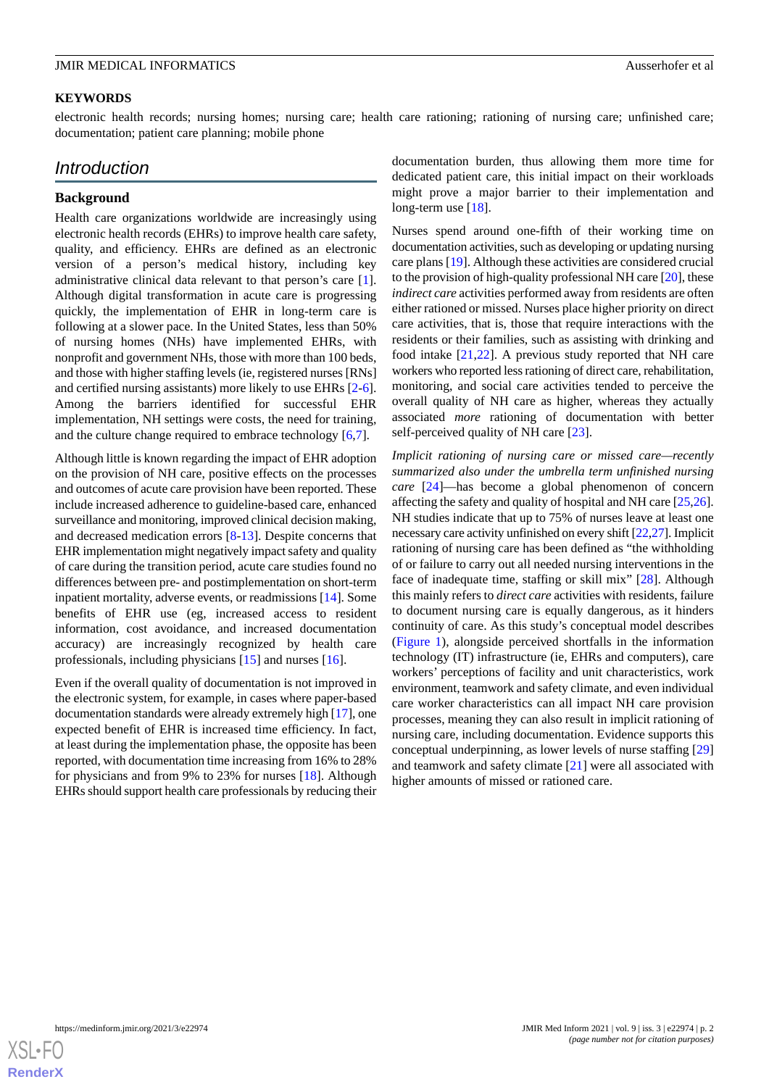### **KEYWORDS**

electronic health records; nursing homes; nursing care; health care rationing; rationing of nursing care; unfinished care; documentation; patient care planning; mobile phone

### *Introduction*

### **Background**

Health care organizations worldwide are increasingly using electronic health records (EHRs) to improve health care safety, quality, and efficiency. EHRs are defined as an electronic version of a person's medical history, including key administrative clinical data relevant to that person's care [[1\]](#page-10-0). Although digital transformation in acute care is progressing quickly, the implementation of EHR in long-term care is following at a slower pace. In the United States, less than 50% of nursing homes (NHs) have implemented EHRs, with nonprofit and government NHs, those with more than 100 beds, and those with higher staffing levels (ie, registered nurses [RNs] and certified nursing assistants) more likely to use EHRs [\[2-](#page-10-1)[6\]](#page-10-2). Among the barriers identified for successful EHR implementation, NH settings were costs, the need for training, and the culture change required to embrace technology [\[6](#page-10-2),[7](#page-10-3)].

Although little is known regarding the impact of EHR adoption on the provision of NH care, positive effects on the processes and outcomes of acute care provision have been reported. These include increased adherence to guideline-based care, enhanced surveillance and monitoring, improved clinical decision making, and decreased medication errors [\[8](#page-10-4)-[13\]](#page-11-0). Despite concerns that EHR implementation might negatively impact safety and quality of care during the transition period, acute care studies found no differences between pre- and postimplementation on short-term inpatient mortality, adverse events, or readmissions [[14\]](#page-11-1). Some benefits of EHR use (eg, increased access to resident information, cost avoidance, and increased documentation accuracy) are increasingly recognized by health care professionals, including physicians [[15\]](#page-11-2) and nurses [[16\]](#page-11-3).

Even if the overall quality of documentation is not improved in the electronic system, for example, in cases where paper-based documentation standards were already extremely high [[17\]](#page-11-4), one expected benefit of EHR is increased time efficiency. In fact, at least during the implementation phase, the opposite has been reported, with documentation time increasing from 16% to 28% for physicians and from 9% to 23% for nurses [\[18](#page-11-5)]. Although EHRs should support health care professionals by reducing their

documentation burden, thus allowing them more time for dedicated patient care, this initial impact on their workloads might prove a major barrier to their implementation and long-term use [[18\]](#page-11-5).

Nurses spend around one-fifth of their working time on documentation activities, such as developing or updating nursing care plans [\[19](#page-11-6)]. Although these activities are considered crucial to the provision of high-quality professional NH care [[20\]](#page-11-7), these *indirect care* activities performed away from residents are often either rationed or missed. Nurses place higher priority on direct care activities, that is, those that require interactions with the residents or their families, such as assisting with drinking and food intake [[21](#page-11-8)[,22](#page-11-9)]. A previous study reported that NH care workers who reported less rationing of direct care, rehabilitation, monitoring, and social care activities tended to perceive the overall quality of NH care as higher, whereas they actually associated *more* rationing of documentation with better self-perceived quality of NH care [[23\]](#page-11-10).

*Implicit rationing of nursing care or missed care—recently summarized also under the umbrella term unfinished nursing care* [\[24](#page-11-11)]—has become a global phenomenon of concern affecting the safety and quality of hospital and NH care [[25,](#page-11-12)[26\]](#page-11-13). NH studies indicate that up to 75% of nurses leave at least one necessary care activity unfinished on every shift [\[22](#page-11-9),[27](#page-11-14)]. Implicit rationing of nursing care has been defined as "the withholding of or failure to carry out all needed nursing interventions in the face of inadequate time, staffing or skill mix" [\[28](#page-11-15)]. Although this mainly refers to *direct care* activities with residents, failure to document nursing care is equally dangerous, as it hinders continuity of care. As this study's conceptual model describes ([Figure 1](#page-2-0)), alongside perceived shortfalls in the information technology (IT) infrastructure (ie, EHRs and computers), care workers' perceptions of facility and unit characteristics, work environment, teamwork and safety climate, and even individual care worker characteristics can all impact NH care provision processes, meaning they can also result in implicit rationing of nursing care, including documentation. Evidence supports this conceptual underpinning, as lower levels of nurse staffing [\[29](#page-11-16)] and teamwork and safety climate [\[21](#page-11-8)] were all associated with higher amounts of missed or rationed care.

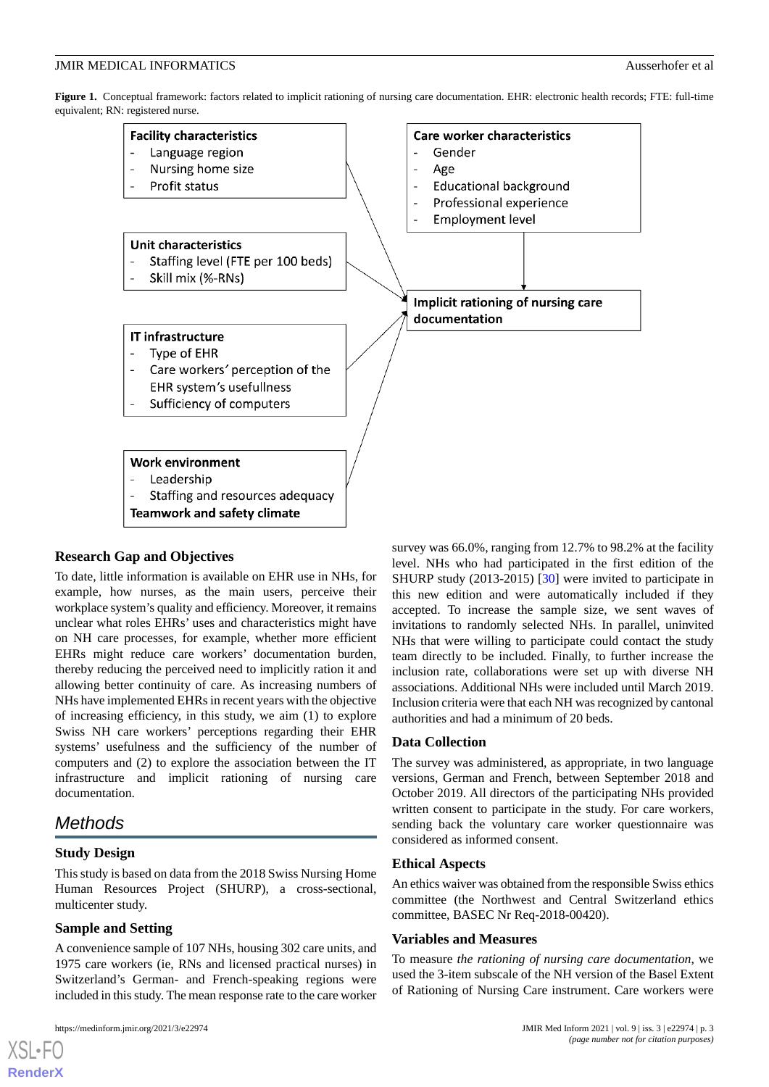<span id="page-2-0"></span>**Figure 1.** Conceptual framework: factors related to implicit rationing of nursing care documentation. EHR: electronic health records; FTE: full-time equivalent; RN: registered nurse.



### **Research Gap and Objectives**

To date, little information is available on EHR use in NHs, for example, how nurses, as the main users, perceive their workplace system's quality and efficiency. Moreover, it remains unclear what roles EHRs' uses and characteristics might have on NH care processes, for example, whether more efficient EHRs might reduce care workers' documentation burden, thereby reducing the perceived need to implicitly ration it and allowing better continuity of care. As increasing numbers of NHs have implemented EHRs in recent years with the objective of increasing efficiency, in this study, we aim (1) to explore Swiss NH care workers' perceptions regarding their EHR systems' usefulness and the sufficiency of the number of computers and (2) to explore the association between the IT infrastructure and implicit rationing of nursing care documentation.

### *Methods*

### **Study Design**

This study is based on data from the 2018 Swiss Nursing Home Human Resources Project (SHURP), a cross-sectional, multicenter study.

### **Sample and Setting**

A convenience sample of 107 NHs, housing 302 care units, and 1975 care workers (ie, RNs and licensed practical nurses) in Switzerland's German- and French-speaking regions were included in this study. The mean response rate to the care worker

survey was 66.0%, ranging from 12.7% to 98.2% at the facility level. NHs who had participated in the first edition of the SHURP study (2013-2015) [[30\]](#page-11-17) were invited to participate in this new edition and were automatically included if they accepted. To increase the sample size, we sent waves of invitations to randomly selected NHs. In parallel, uninvited NHs that were willing to participate could contact the study team directly to be included. Finally, to further increase the inclusion rate, collaborations were set up with diverse NH associations. Additional NHs were included until March 2019. Inclusion criteria were that each NH was recognized by cantonal authorities and had a minimum of 20 beds.

### **Data Collection**

The survey was administered, as appropriate, in two language versions, German and French, between September 2018 and October 2019. All directors of the participating NHs provided written consent to participate in the study. For care workers, sending back the voluntary care worker questionnaire was considered as informed consent.

### **Ethical Aspects**

An ethics waiver was obtained from the responsible Swiss ethics committee (the Northwest and Central Switzerland ethics committee, BASEC Nr Req-2018-00420).

### **Variables and Measures**

To measure *the rationing of nursing care documentation*, we used the 3-item subscale of the NH version of the Basel Extent of Rationing of Nursing Care instrument. Care workers were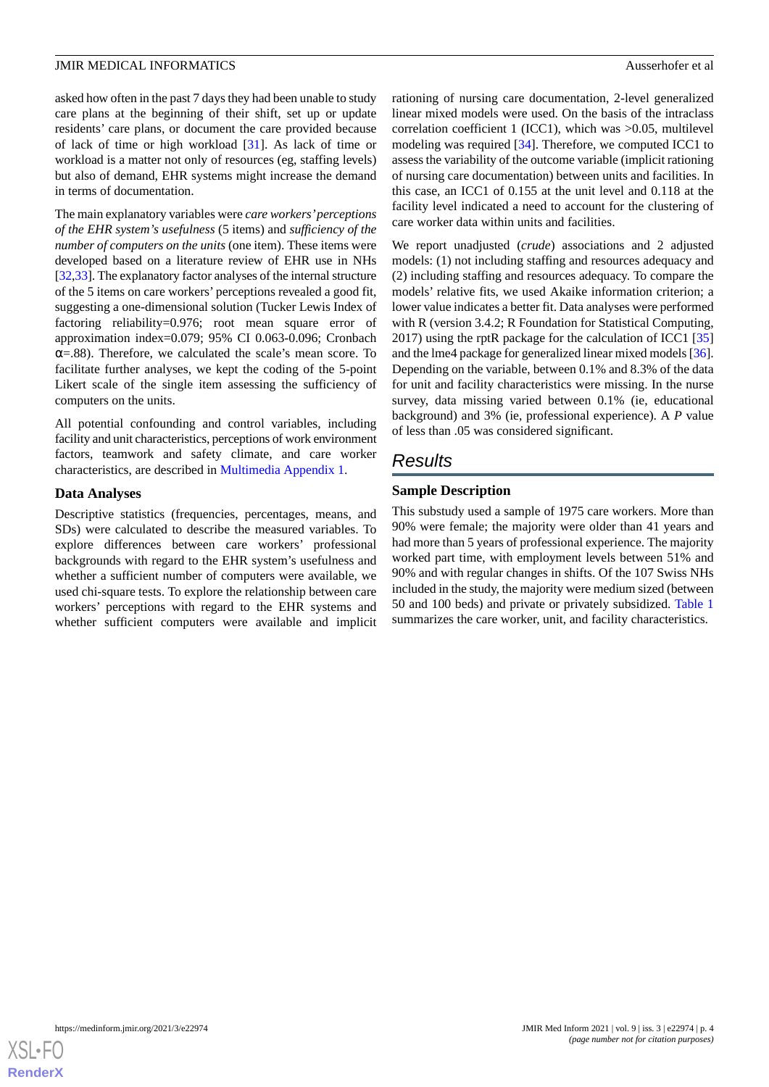asked how often in the past 7 days they had been unable to study care plans at the beginning of their shift, set up or update residents' care plans, or document the care provided because of lack of time or high workload [[31\]](#page-11-18). As lack of time or workload is a matter not only of resources (eg, staffing levels) but also of demand, EHR systems might increase the demand in terms of documentation.

The main explanatory variables were *care workers'perceptions of the EHR system's usefulness* (5 items) and *sufficiency of the number of computers on the units* (one item). These items were developed based on a literature review of EHR use in NHs [[32,](#page-11-19)[33\]](#page-12-0). The explanatory factor analyses of the internal structure of the 5 items on care workers' perceptions revealed a good fit, suggesting a one-dimensional solution (Tucker Lewis Index of factoring reliability=0.976; root mean square error of approximation index=0.079; 95% CI 0.063-0.096; Cronbach  $\alpha$ =.88). Therefore, we calculated the scale's mean score. To facilitate further analyses, we kept the coding of the 5-point Likert scale of the single item assessing the sufficiency of computers on the units.

All potential confounding and control variables, including facility and unit characteristics, perceptions of work environment factors, teamwork and safety climate, and care worker characteristics, are described in [Multimedia Appendix 1.](#page-10-5)

### **Data Analyses**

Descriptive statistics (frequencies, percentages, means, and SDs) were calculated to describe the measured variables. To explore differences between care workers' professional backgrounds with regard to the EHR system's usefulness and whether a sufficient number of computers were available, we used chi-square tests. To explore the relationship between care workers' perceptions with regard to the EHR systems and whether sufficient computers were available and implicit rationing of nursing care documentation, 2-level generalized linear mixed models were used. On the basis of the intraclass correlation coefficient 1 (ICC1), which was >0.05, multilevel modeling was required [\[34](#page-12-1)]. Therefore, we computed ICC1 to assess the variability of the outcome variable (implicit rationing of nursing care documentation) between units and facilities. In this case, an ICC1 of 0.155 at the unit level and 0.118 at the facility level indicated a need to account for the clustering of care worker data within units and facilities.

We report unadjusted (*crude*) associations and 2 adjusted models: (1) not including staffing and resources adequacy and (2) including staffing and resources adequacy. To compare the models' relative fits, we used Akaike information criterion; a lower value indicates a better fit. Data analyses were performed with R (version 3.4.2; R Foundation for Statistical Computing, 2017) using the rptR package for the calculation of ICC1 [\[35](#page-12-2)] and the lme4 package for generalized linear mixed models [\[36\]](#page-12-3). Depending on the variable, between 0.1% and 8.3% of the data for unit and facility characteristics were missing. In the nurse survey, data missing varied between 0.1% (ie, educational background) and 3% (ie, professional experience). A *P* value of less than .05 was considered significant.

### *Results*

### **Sample Description**

This substudy used a sample of 1975 care workers. More than 90% were female; the majority were older than 41 years and had more than 5 years of professional experience. The majority worked part time, with employment levels between 51% and 90% and with regular changes in shifts. Of the 107 Swiss NHs included in the study, the majority were medium sized (between 50 and 100 beds) and private or privately subsidized. [Table 1](#page-4-0) summarizes the care worker, unit, and facility characteristics.

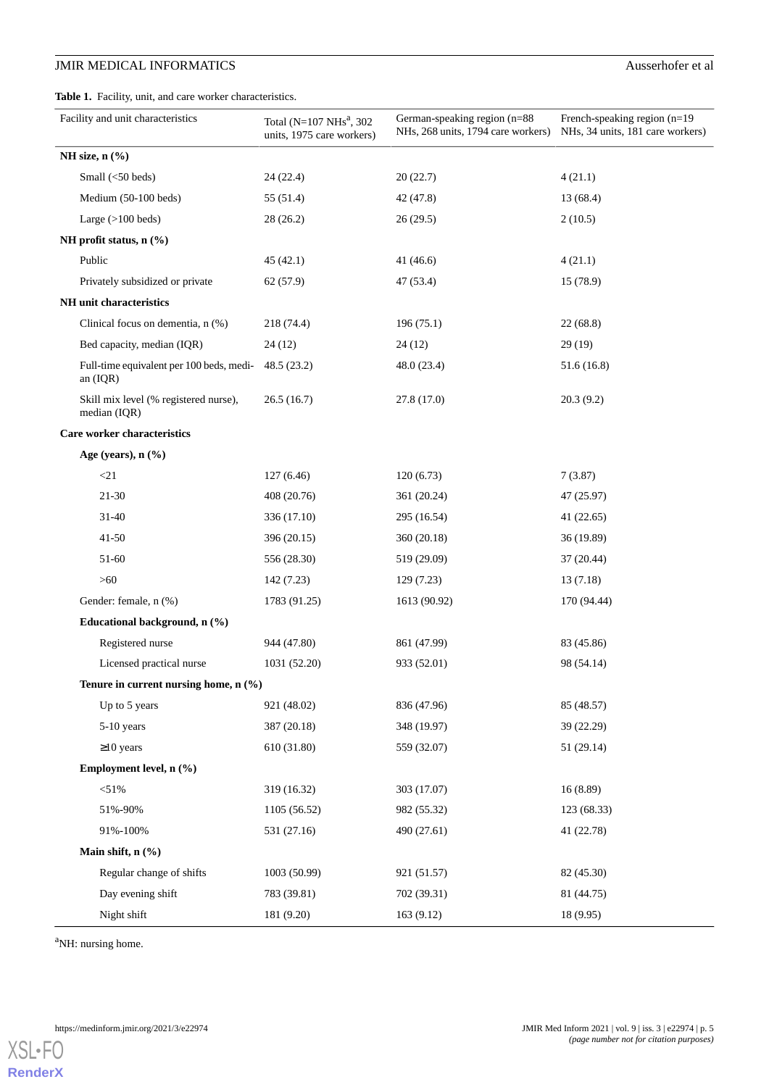<span id="page-4-0"></span>**Table 1.** Facility, unit, and care worker characteristics.

| Facility and unit characteristics                     | Total (N=107 NHs <sup>a</sup> , 302<br>units, 1975 care workers) | German-speaking region (n=88<br>NHs, 268 units, 1794 care workers) | French-speaking region (n=19<br>NHs, 34 units, 181 care workers) |
|-------------------------------------------------------|------------------------------------------------------------------|--------------------------------------------------------------------|------------------------------------------------------------------|
| NH size, $n$ $(\frac{6}{6})$                          |                                                                  |                                                                    |                                                                  |
| Small (<50 beds)                                      | 24(22.4)                                                         | 20(22.7)                                                           | 4(21.1)                                                          |
| Medium (50-100 beds)                                  | 55 (51.4)                                                        | 42 (47.8)                                                          | 13 (68.4)                                                        |
| Large $(>100$ beds)                                   | 28(26.2)                                                         | 26(29.5)                                                           | 2(10.5)                                                          |
| NH profit status, n (%)                               |                                                                  |                                                                    |                                                                  |
| Public                                                | 45(42.1)                                                         | 41(46.6)                                                           | 4(21.1)                                                          |
| Privately subsidized or private                       | 62(57.9)                                                         | 47 (53.4)                                                          | 15 (78.9)                                                        |
| NH unit characteristics                               |                                                                  |                                                                    |                                                                  |
| Clinical focus on dementia, n (%)                     | 218 (74.4)                                                       | 196(75.1)                                                          | 22(68.8)                                                         |
| Bed capacity, median (IQR)                            | 24(12)                                                           | 24(12)                                                             | 29(19)                                                           |
| Full-time equivalent per 100 beds, medi-              | 48.5(23.2)                                                       | 48.0 (23.4)                                                        | 51.6(16.8)                                                       |
| an $(IQR)$                                            |                                                                  |                                                                    |                                                                  |
| Skill mix level (% registered nurse),<br>median (IQR) | 26.5(16.7)                                                       | 27.8(17.0)                                                         | 20.3(9.2)                                                        |
| Care worker characteristics                           |                                                                  |                                                                    |                                                                  |
| Age (years), $n$ (%)                                  |                                                                  |                                                                    |                                                                  |
| $<$ 21                                                | 127(6.46)                                                        | 120(6.73)                                                          | 7(3.87)                                                          |
| $21 - 30$                                             | 408 (20.76)                                                      | 361 (20.24)                                                        | 47 (25.97)                                                       |
| 31-40                                                 | 336 (17.10)                                                      | 295 (16.54)                                                        | 41 (22.65)                                                       |
| $41 - 50$                                             | 396 (20.15)                                                      | 360 (20.18)                                                        | 36 (19.89)                                                       |
| 51-60                                                 | 556 (28.30)                                                      | 519 (29.09)                                                        | 37 (20.44)                                                       |
| $>60$                                                 | 142 (7.23)                                                       | 129(7.23)                                                          | 13(7.18)                                                         |
| Gender: female, n (%)                                 | 1783 (91.25)                                                     | 1613 (90.92)                                                       | 170 (94.44)                                                      |
| Educational background, n (%)                         |                                                                  |                                                                    |                                                                  |
| Registered nurse                                      | 944 (47.80)                                                      | 861 (47.99)                                                        | 83 (45.86)                                                       |
| Licensed practical nurse                              | 1031 (52.20)                                                     | 933 (52.01)                                                        | 98 (54.14)                                                       |
| Tenure in current nursing home, n (%)                 |                                                                  |                                                                    |                                                                  |
| Up to 5 years                                         | 921 (48.02)                                                      | 836 (47.96)                                                        | 85 (48.57)                                                       |
| 5-10 years                                            | 387 (20.18)                                                      | 348 (19.97)                                                        | 39 (22.29)                                                       |
| $\geq$ 10 years                                       | 610 (31.80)                                                      | 559 (32.07)                                                        | 51 (29.14)                                                       |
| Employment level, n (%)                               |                                                                  |                                                                    |                                                                  |
| < 51%                                                 | 319 (16.32)                                                      | 303 (17.07)                                                        | 16(8.89)                                                         |
| 51%-90%                                               | 1105 (56.52)                                                     | 982 (55.32)                                                        | 123 (68.33)                                                      |
| 91%-100%                                              | 531 (27.16)                                                      | 490 (27.61)                                                        | 41 (22.78)                                                       |
| Main shift, n (%)                                     |                                                                  |                                                                    |                                                                  |
| Regular change of shifts                              | 1003 (50.99)                                                     | 921 (51.57)                                                        | 82 (45.30)                                                       |
| Day evening shift                                     | 783 (39.81)                                                      | 702 (39.31)                                                        | 81 (44.75)                                                       |
| Night shift                                           | 181 (9.20)                                                       | 163 (9.12)                                                         | 18(9.95)                                                         |

<sup>a</sup>NH: nursing home.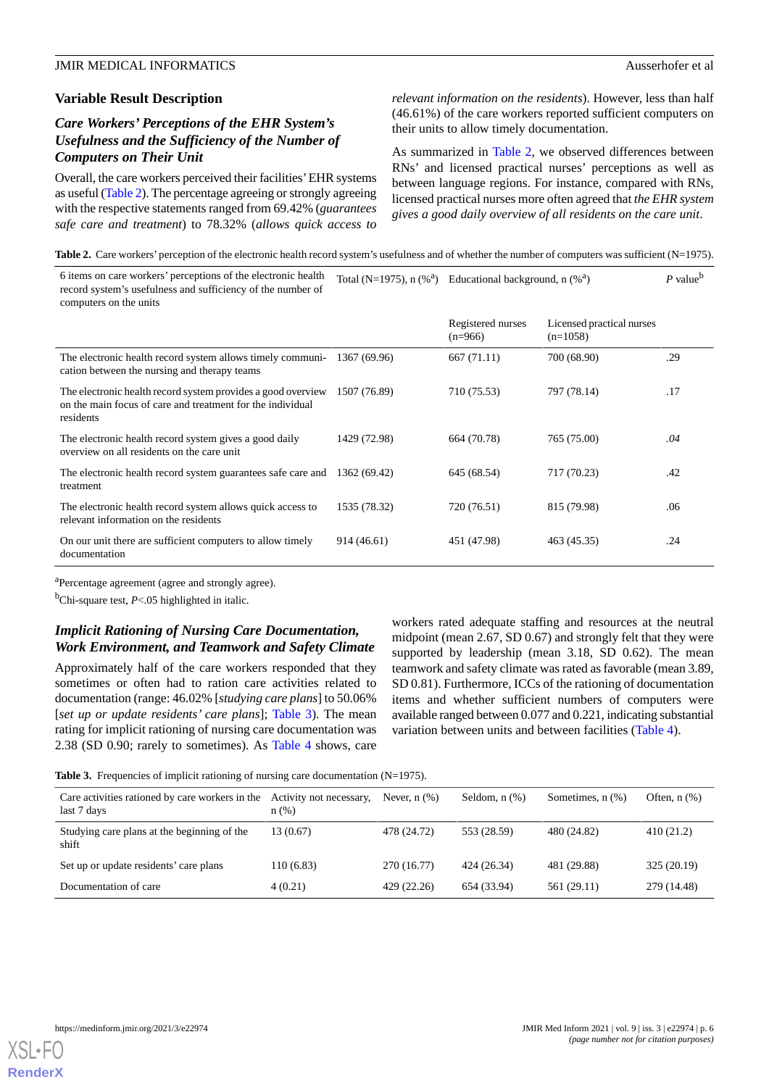### **Variable Result Description**

### *Care Workers' Perceptions of the EHR System's Usefulness and the Sufficiency of the Number of Computers on Their Unit*

Overall, the care workers perceived their facilities'EHR systems as useful ([Table 2\)](#page-5-0). The percentage agreeing or strongly agreeing with the respective statements ranged from 69.42% (*guarantees safe care and treatment*) to 78.32% (*allows quick access to*

*relevant information on the residents*). However, less than half (46.61%) of the care workers reported sufficient computers on their units to allow timely documentation.

As summarized in [Table 2,](#page-5-0) we observed differences between RNs' and licensed practical nurses' perceptions as well as between language regions. For instance, compared with RNs, licensed practical nurses more often agreed that *the EHR system gives a good daily overview of all residents on the care unit*.

<span id="page-5-0"></span>Table 2. Care workers' perception of the electronic health record system's usefulness and of whether the number of computers was sufficient (N=1975).

| 6 items on care workers' perceptions of the electronic health<br>record system's usefulness and sufficiency of the number of<br>computers on the units |              | Total (N=1975), $n \, (\%^a)$ Educational background, $n \, (\%^a)$ |                                         | $P$ value <sup>b</sup> |
|--------------------------------------------------------------------------------------------------------------------------------------------------------|--------------|---------------------------------------------------------------------|-----------------------------------------|------------------------|
|                                                                                                                                                        |              | Registered nurses<br>$(n=966)$                                      | Licensed practical nurses<br>$(n=1058)$ |                        |
| The electronic health record system allows timely communi-<br>cation between the nursing and therapy teams                                             | 1367 (69.96) | 667 (71.11)                                                         | 700 (68.90)                             | .29                    |
| The electronic health record system provides a good overview<br>on the main focus of care and treatment for the individual<br>residents                | 1507 (76.89) | 710 (75.53)                                                         | 797 (78.14)                             | .17                    |
| The electronic health record system gives a good daily<br>overview on all residents on the care unit                                                   | 1429 (72.98) | 664 (70.78)                                                         | 765 (75.00)                             | .04                    |
| The electronic health record system guarantees safe care and<br>treatment                                                                              | 1362 (69.42) | 645 (68.54)                                                         | 717 (70.23)                             | .42                    |
| The electronic health record system allows quick access to<br>relevant information on the residents                                                    | 1535 (78.32) | 720 (76.51)                                                         | 815 (79.98)                             | .06                    |
| On our unit there are sufficient computers to allow timely<br>documentation                                                                            | 914 (46.61)  | 451 (47.98)                                                         | 463 (45.35)                             | .24                    |

<sup>a</sup>Percentage agreement (agree and strongly agree).

<sup>b</sup>Chi-square test, *P*<.05 highlighted in italic.

### *Implicit Rationing of Nursing Care Documentation, Work Environment, and Teamwork and Safety Climate*

<span id="page-5-1"></span>Approximately half of the care workers responded that they sometimes or often had to ration care activities related to documentation (range: 46.02% [*studying care plans*] to 50.06% [*set up or update residents' care plans*]; [Table 3\)](#page-5-1). The mean rating for implicit rationing of nursing care documentation was 2.38 (SD 0.90; rarely to sometimes). As [Table 4](#page-6-0) shows, care workers rated adequate staffing and resources at the neutral midpoint (mean 2.67, SD 0.67) and strongly felt that they were supported by leadership (mean 3.18, SD 0.62). The mean teamwork and safety climate was rated as favorable (mean 3.89, SD 0.81). Furthermore, ICCs of the rationing of documentation items and whether sufficient numbers of computers were available ranged between 0.077 and 0.221, indicating substantial variation between units and between facilities [\(Table 4\)](#page-6-0).

**Table 3.** Frequencies of implicit rationing of nursing care documentation (N=1975).

| Care activities rationed by care workers in the<br>last 7 days | Activity not necessary,<br>$n$ (%) | Never, $n$ $(\%)$ | Seldom, $n$ $(\%)$ | Sometimes, $n$ $(\%)$ | Often, $n$ $(\%)$ |
|----------------------------------------------------------------|------------------------------------|-------------------|--------------------|-----------------------|-------------------|
| Studying care plans at the beginning of the<br>shift           | 13 (0.67)                          | 478 (24.72)       | 553 (28.59)        | 480 (24.82)           | 410(21.2)         |
| Set up or update residents' care plans                         | 110 (6.83)                         | 270 (16.77)       | 424 (26.34)        | 481 (29.88)           | 325 (20.19)       |
| Documentation of care                                          | 4(0.21)                            | 429 (22.26)       | 654 (33.94)        | 561 (29.11)           | 279 (14.48)       |

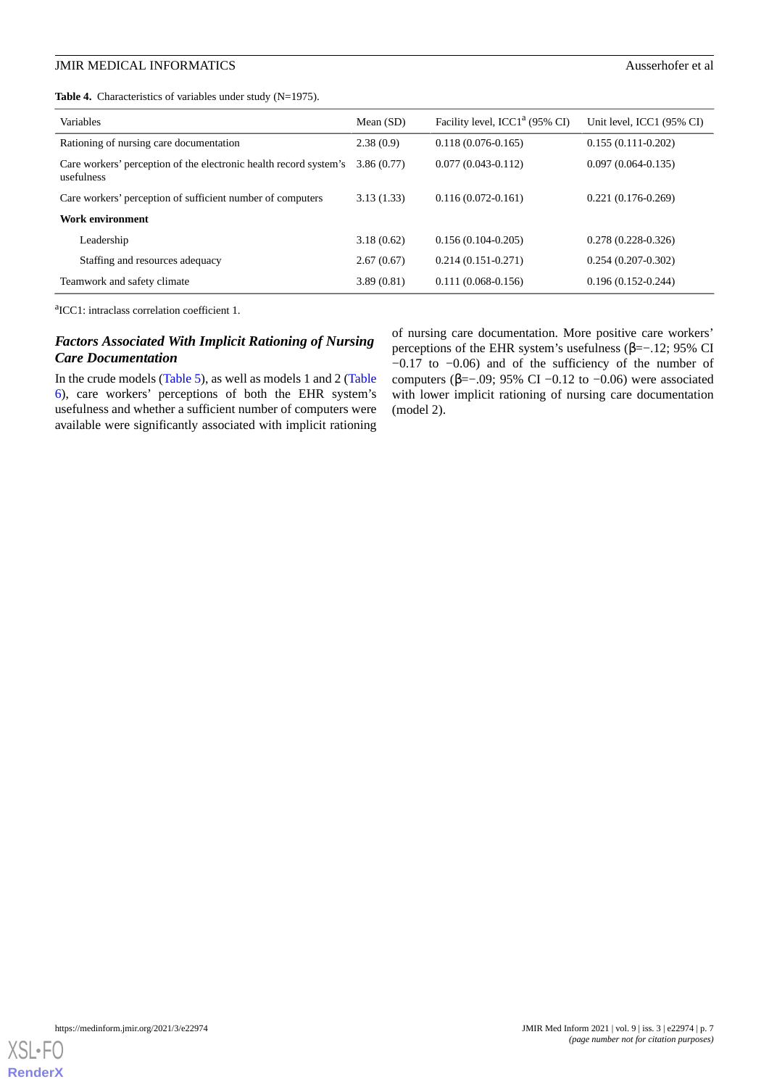<span id="page-6-0"></span>Table 4. Characteristics of variables under study (N=1975).

| <b>Variables</b>                                                                | Mean $(SD)$ | Facility level, ICC1 <sup>a</sup> (95% CI) | Unit level, ICC1 (95% CI) |
|---------------------------------------------------------------------------------|-------------|--------------------------------------------|---------------------------|
| Rationing of nursing care documentation                                         | 2.38(0.9)   | $0.118(0.076-0.165)$                       | $0.155(0.111-0.202)$      |
| Care workers' perception of the electronic health record system's<br>usefulness | 3.86(0.77)  | $0.077(0.043 - 0.112)$                     | $0.097(0.064 - 0.135)$    |
| Care workers' perception of sufficient number of computers                      | 3.13(1.33)  | $0.116(0.072 - 0.161)$                     | $0.221(0.176-0.269)$      |
| Work environment                                                                |             |                                            |                           |
| Leadership                                                                      | 3.18(0.62)  | $0.156(0.104 - 0.205)$                     | $0.278(0.228-0.326)$      |
| Staffing and resources adequacy                                                 | 2.67(0.67)  | $0.214(0.151-0.271)$                       | $0.254(0.207-0.302)$      |
| Teamwork and safety climate                                                     | 3.89(0.81)  | $0.111(0.068-0.156)$                       | $0.196(0.152 - 0.244)$    |

a ICC1: intraclass correlation coefficient 1.

### *Factors Associated With Implicit Rationing of Nursing Care Documentation*

In the crude models [\(Table 5\)](#page-7-0), as well as models 1 and 2 ([Table](#page-8-0) [6\)](#page-8-0), care workers' perceptions of both the EHR system's usefulness and whether a sufficient number of computers were available were significantly associated with implicit rationing of nursing care documentation. More positive care workers' perceptions of the EHR system's usefulness (β=−.12; 95% CI −0.17 to −0.06) and of the sufficiency of the number of computers ( $\beta$ =−.09; 95% CI −0.12 to −0.06) were associated with lower implicit rationing of nursing care documentation (model 2).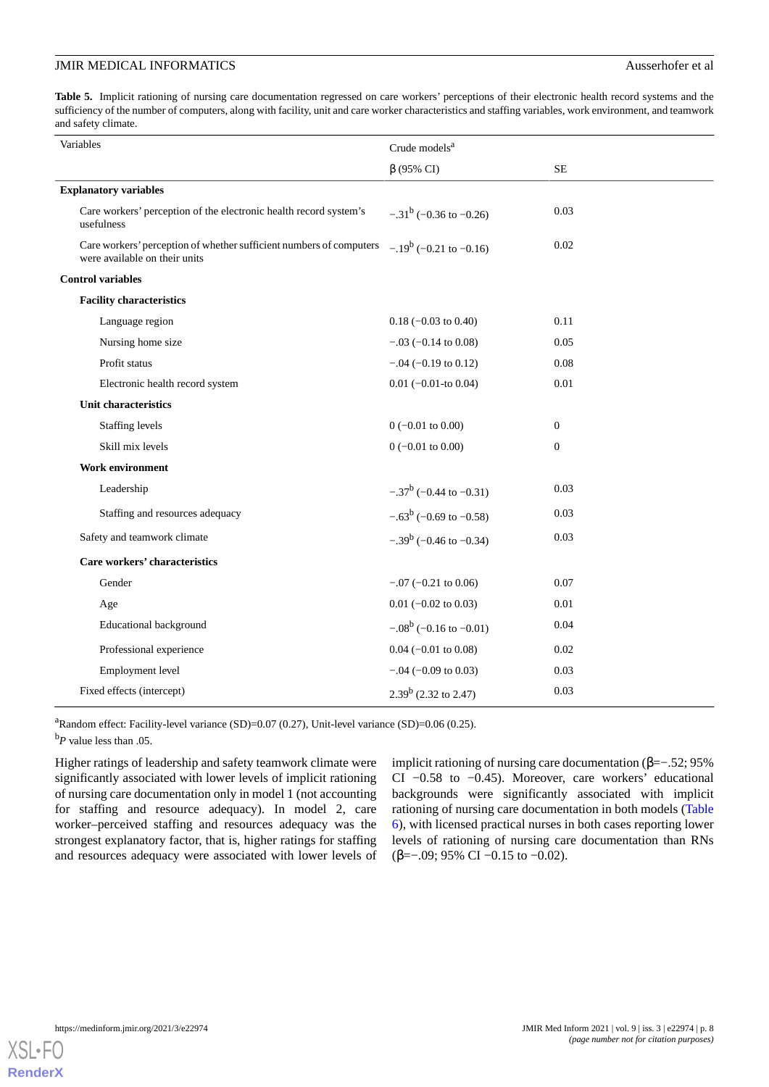<span id="page-7-0"></span>Table 5. Implicit rationing of nursing care documentation regressed on care workers' perceptions of their electronic health record systems and the sufficiency of the number of computers, along with facility, unit and care worker characteristics and staffing variables, work environment, and teamwork and safety climate.

| Variables                                                                                            | Crude models <sup>a</sup>       |              |
|------------------------------------------------------------------------------------------------------|---------------------------------|--------------|
|                                                                                                      | $\beta$ (95% CI)                | $\rm SE$     |
| <b>Explanatory variables</b>                                                                         |                                 |              |
| Care workers' perception of the electronic health record system's<br>usefulness                      | $-.31^b$ (-0.36 to -0.26)       | 0.03         |
| Care workers' perception of whether sufficient numbers of computers<br>were available on their units | $-.19^b$ (-0.21 to -0.16)       | 0.02         |
| <b>Control variables</b>                                                                             |                                 |              |
| <b>Facility characteristics</b>                                                                      |                                 |              |
| Language region                                                                                      | $0.18 (-0.03 \text{ to } 0.40)$ | 0.11         |
| Nursing home size                                                                                    | $-.03$ ( $-0.14$ to 0.08)       | 0.05         |
| Profit status                                                                                        | $-.04 (-0.19 \text{ to } 0.12)$ | 0.08         |
| Electronic health record system                                                                      | $0.01$ (-0.01-to 0.04)          | 0.01         |
| Unit characteristics                                                                                 |                                 |              |
| <b>Staffing levels</b>                                                                               | $0 (-0.01 \text{ to } 0.00)$    | $\mathbf{0}$ |
| Skill mix levels                                                                                     | $0 (-0.01 \text{ to } 0.00)$    | $\mathbf{0}$ |
| <b>Work environment</b>                                                                              |                                 |              |
| Leadership                                                                                           | $-.37^b$ (-0.44 to -0.31)       | 0.03         |
| Staffing and resources adequacy                                                                      | $-.63^b$ (-0.69 to -0.58)       | 0.03         |
| Safety and teamwork climate                                                                          | $-.39^b$ (-0.46 to -0.34)       | 0.03         |
| Care workers' characteristics                                                                        |                                 |              |
| Gender                                                                                               | $-.07$ ( $-0.21$ to 0.06)       | 0.07         |
| Age                                                                                                  | $0.01$ (-0.02 to 0.03)          | 0.01         |
| <b>Educational background</b>                                                                        | $-.08^b$ (-0.16 to -0.01)       | 0.04         |
| Professional experience                                                                              | $0.04$ (-0.01 to 0.08)          | 0.02         |
| Employment level                                                                                     | $-.04 (-0.09 \text{ to } 0.03)$ | 0.03         |
| Fixed effects (intercept)                                                                            | $2.39^b$ (2.32 to 2.47)         | 0.03         |

<sup>a</sup>Random effect: Facility-level variance (SD)=0.07 (0.27), Unit-level variance (SD)=0.06 (0.25).

<sup>b</sup>*P* value less than .05.

Higher ratings of leadership and safety teamwork climate were significantly associated with lower levels of implicit rationing of nursing care documentation only in model 1 (not accounting for staffing and resource adequacy). In model 2, care worker–perceived staffing and resources adequacy was the strongest explanatory factor, that is, higher ratings for staffing and resources adequacy were associated with lower levels of implicit rationing of nursing care documentation (β=−.52; 95% CI −0.58 to −0.45). Moreover, care workers' educational backgrounds were significantly associated with implicit rationing of nursing care documentation in both models ([Table](#page-8-0) [6\)](#page-8-0), with licensed practical nurses in both cases reporting lower levels of rationing of nursing care documentation than RNs (β=−.09; 95% CI −0.15 to −0.02).

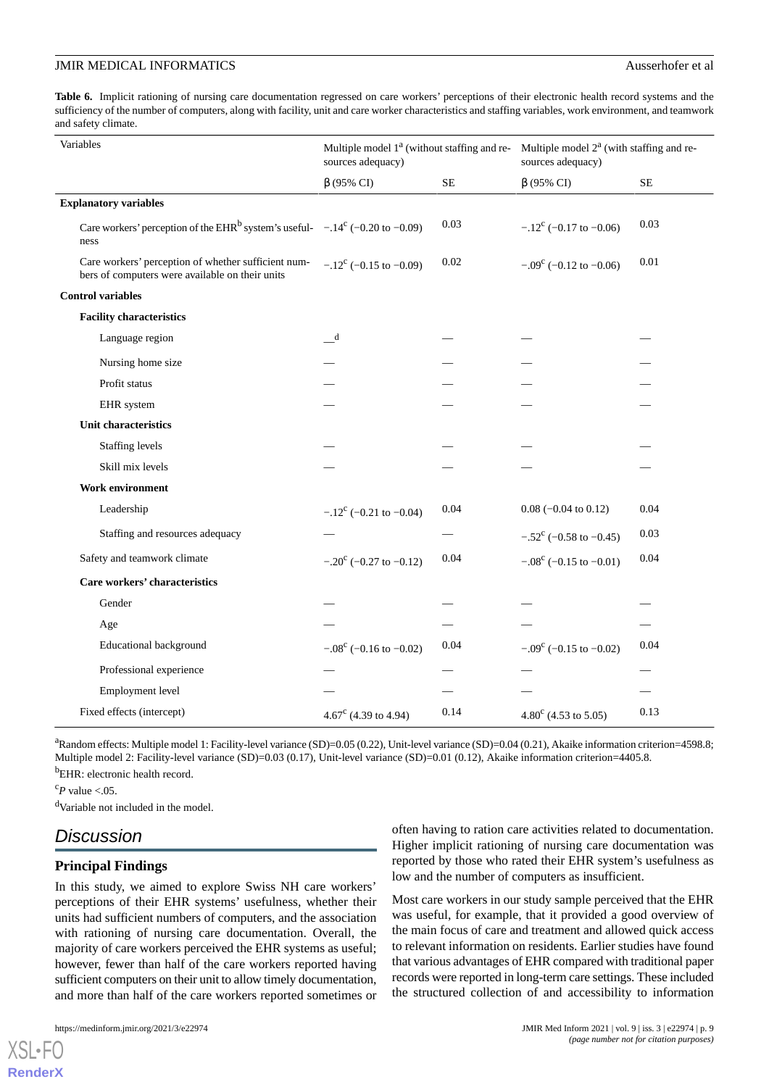<span id="page-8-0"></span>Table 6. Implicit rationing of nursing care documentation regressed on care workers' perceptions of their electronic health record systems and the sufficiency of the number of computers, along with facility, unit and care worker characteristics and staffing variables, work environment, and teamwork and safety climate.

| Variables                                                                                              | Multiple model $1^a$ (without staffing and re- Multiple model $2^a$ (with staffing and re-<br>sources adequacy) |          | sources adequacy)               |          |
|--------------------------------------------------------------------------------------------------------|-----------------------------------------------------------------------------------------------------------------|----------|---------------------------------|----------|
|                                                                                                        | $\beta$ (95% CI)                                                                                                | $\rm SE$ | $\beta$ (95% CI)                | $\rm SE$ |
| <b>Explanatory variables</b>                                                                           |                                                                                                                 |          |                                 |          |
| Care workers' perception of the EHR <sup>b</sup> system's useful- $-.14^c$ (-0.20 to -0.09)<br>ness    |                                                                                                                 | 0.03     | $-.12^{\circ}$ (-0.17 to -0.06) | 0.03     |
| Care workers' perception of whether sufficient num-<br>bers of computers were available on their units | $-.12^{\circ}$ (-0.15 to -0.09)                                                                                 | 0.02     | $-.09^{\circ}$ (-0.12 to -0.06) | 0.01     |
| <b>Control variables</b>                                                                               |                                                                                                                 |          |                                 |          |
| <b>Facility characteristics</b>                                                                        |                                                                                                                 |          |                                 |          |
| Language region                                                                                        | d                                                                                                               |          |                                 |          |
| Nursing home size                                                                                      |                                                                                                                 |          |                                 |          |
| Profit status                                                                                          |                                                                                                                 |          |                                 |          |
| EHR system                                                                                             |                                                                                                                 |          |                                 |          |
| Unit characteristics                                                                                   |                                                                                                                 |          |                                 |          |
| Staffing levels                                                                                        |                                                                                                                 |          |                                 |          |
| Skill mix levels                                                                                       |                                                                                                                 |          |                                 |          |
| Work environment                                                                                       |                                                                                                                 |          |                                 |          |
| Leadership                                                                                             | $-.12^{\circ}$ (-0.21 to -0.04)                                                                                 | 0.04     | $0.08$ (-0.04 to 0.12)          | 0.04     |
| Staffing and resources adequacy                                                                        |                                                                                                                 |          | $-.52^{\circ}$ (-0.58 to -0.45) | 0.03     |
| Safety and teamwork climate                                                                            | $-.20^{\circ}$ (-0.27 to -0.12)                                                                                 | 0.04     | $-.08^{\circ}$ (-0.15 to -0.01) | 0.04     |
| Care workers' characteristics                                                                          |                                                                                                                 |          |                                 |          |
| Gender                                                                                                 |                                                                                                                 |          |                                 |          |
| Age                                                                                                    |                                                                                                                 |          |                                 |          |
| Educational background                                                                                 | $-.08^{\circ}$ (-0.16 to -0.02)                                                                                 | 0.04     | $-.09^{\circ}$ (-0.15 to -0.02) | 0.04     |
| Professional experience                                                                                |                                                                                                                 |          |                                 |          |
| Employment level                                                                                       |                                                                                                                 |          |                                 |          |
| Fixed effects (intercept)                                                                              | 4.67 $\textdegree$ (4.39 to 4.94)                                                                               | 0.14     | $4.80^{\circ}$ (4.53 to 5.05)   | 0.13     |

<sup>a</sup>Random effects: Multiple model 1: Facility-level variance (SD)=0.05 (0.22), Unit-level variance (SD)=0.04 (0.21), Akaike information criterion=4598.8; Multiple model 2: Facility-level variance (SD)=0.03 (0.17), Unit-level variance (SD)=0.01 (0.12), Akaike information criterion=4405.8.

<sup>b</sup>EHR: electronic health record.

 $c_P$  value <.05.

[XSL](http://www.w3.org/Style/XSL)•FO **[RenderX](http://www.renderx.com/)**

<sup>d</sup>Variable not included in the model.

### *Discussion*

### **Principal Findings**

In this study, we aimed to explore Swiss NH care workers' perceptions of their EHR systems' usefulness, whether their units had sufficient numbers of computers, and the association with rationing of nursing care documentation. Overall, the majority of care workers perceived the EHR systems as useful; however, fewer than half of the care workers reported having sufficient computers on their unit to allow timely documentation, and more than half of the care workers reported sometimes or

often having to ration care activities related to documentation. Higher implicit rationing of nursing care documentation was reported by those who rated their EHR system's usefulness as low and the number of computers as insufficient.

Most care workers in our study sample perceived that the EHR was useful, for example, that it provided a good overview of the main focus of care and treatment and allowed quick access to relevant information on residents. Earlier studies have found that various advantages of EHR compared with traditional paper records were reported in long-term care settings. These included the structured collection of and accessibility to information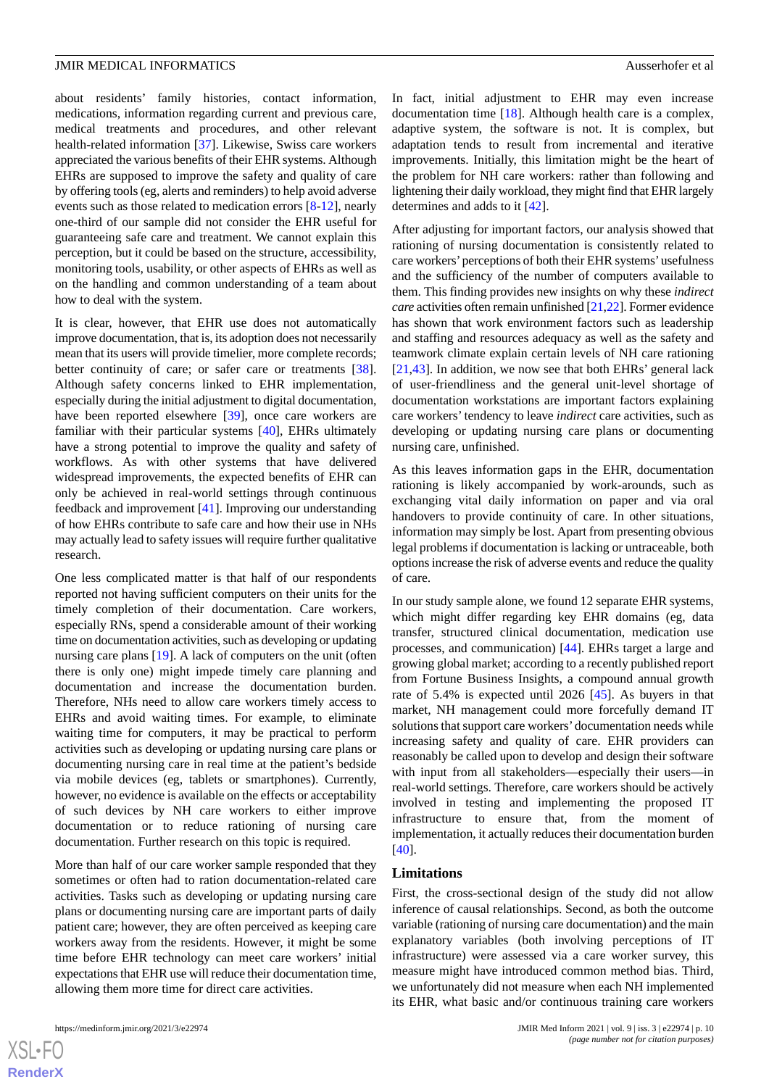about residents' family histories, contact information, medications, information regarding current and previous care, medical treatments and procedures, and other relevant health-related information [[37\]](#page-12-4). Likewise, Swiss care workers appreciated the various benefits of their EHR systems. Although EHRs are supposed to improve the safety and quality of care by offering tools (eg, alerts and reminders) to help avoid adverse events such as those related to medication errors [\[8](#page-10-4)[-12](#page-11-20)], nearly one-third of our sample did not consider the EHR useful for guaranteeing safe care and treatment. We cannot explain this perception, but it could be based on the structure, accessibility, monitoring tools, usability, or other aspects of EHRs as well as on the handling and common understanding of a team about how to deal with the system.

It is clear, however, that EHR use does not automatically improve documentation, that is, its adoption does not necessarily mean that its users will provide timelier, more complete records; better continuity of care; or safer care or treatments [[38\]](#page-12-5). Although safety concerns linked to EHR implementation, especially during the initial adjustment to digital documentation, have been reported elsewhere [\[39](#page-12-6)], once care workers are familiar with their particular systems [\[40](#page-12-7)], EHRs ultimately have a strong potential to improve the quality and safety of workflows. As with other systems that have delivered widespread improvements, the expected benefits of EHR can only be achieved in real-world settings through continuous feedback and improvement [[41\]](#page-12-8). Improving our understanding of how EHRs contribute to safe care and how their use in NHs may actually lead to safety issues will require further qualitative research.

One less complicated matter is that half of our respondents reported not having sufficient computers on their units for the timely completion of their documentation. Care workers, especially RNs, spend a considerable amount of their working time on documentation activities, such as developing or updating nursing care plans [[19\]](#page-11-6). A lack of computers on the unit (often there is only one) might impede timely care planning and documentation and increase the documentation burden. Therefore, NHs need to allow care workers timely access to EHRs and avoid waiting times. For example, to eliminate waiting time for computers, it may be practical to perform activities such as developing or updating nursing care plans or documenting nursing care in real time at the patient's bedside via mobile devices (eg, tablets or smartphones). Currently, however, no evidence is available on the effects or acceptability of such devices by NH care workers to either improve documentation or to reduce rationing of nursing care documentation. Further research on this topic is required.

More than half of our care worker sample responded that they sometimes or often had to ration documentation-related care activities. Tasks such as developing or updating nursing care plans or documenting nursing care are important parts of daily patient care; however, they are often perceived as keeping care workers away from the residents. However, it might be some time before EHR technology can meet care workers' initial expectations that EHR use will reduce their documentation time, allowing them more time for direct care activities.

In fact, initial adjustment to EHR may even increase documentation time [[18\]](#page-11-5). Although health care is a complex, adaptive system, the software is not. It is complex, but adaptation tends to result from incremental and iterative improvements. Initially, this limitation might be the heart of the problem for NH care workers: rather than following and lightening their daily workload, they might find that EHR largely determines and adds to it [[42\]](#page-12-9).

After adjusting for important factors, our analysis showed that rationing of nursing documentation is consistently related to care workers'perceptions of both their EHR systems'usefulness and the sufficiency of the number of computers available to them. This finding provides new insights on why these *indirect care* activities often remain unfinished [[21](#page-11-8),[22\]](#page-11-9). Former evidence has shown that work environment factors such as leadership and staffing and resources adequacy as well as the safety and teamwork climate explain certain levels of NH care rationing [[21,](#page-11-8)[43\]](#page-12-10). In addition, we now see that both EHRs' general lack of user-friendliness and the general unit-level shortage of documentation workstations are important factors explaining care workers'tendency to leave *indirect* care activities, such as developing or updating nursing care plans or documenting nursing care, unfinished.

As this leaves information gaps in the EHR, documentation rationing is likely accompanied by work-arounds, such as exchanging vital daily information on paper and via oral handovers to provide continuity of care. In other situations, information may simply be lost. Apart from presenting obvious legal problems if documentation is lacking or untraceable, both options increase the risk of adverse events and reduce the quality of care.

In our study sample alone, we found 12 separate EHR systems, which might differ regarding key EHR domains (eg, data transfer, structured clinical documentation, medication use processes, and communication) [[44\]](#page-12-11). EHRs target a large and growing global market; according to a recently published report from Fortune Business Insights, a compound annual growth rate of 5.4% is expected until 2026 [\[45](#page-12-12)]. As buyers in that market, NH management could more forcefully demand IT solutions that support care workers'documentation needs while increasing safety and quality of care. EHR providers can reasonably be called upon to develop and design their software with input from all stakeholders—especially their users—in real-world settings. Therefore, care workers should be actively involved in testing and implementing the proposed IT infrastructure to ensure that, from the moment of implementation, it actually reduces their documentation burden [[40\]](#page-12-7).

#### **Limitations**

First, the cross-sectional design of the study did not allow inference of causal relationships. Second, as both the outcome variable (rationing of nursing care documentation) and the main explanatory variables (both involving perceptions of IT infrastructure) were assessed via a care worker survey, this measure might have introduced common method bias. Third, we unfortunately did not measure when each NH implemented its EHR, what basic and/or continuous training care workers

```
XS-FO
RenderX
```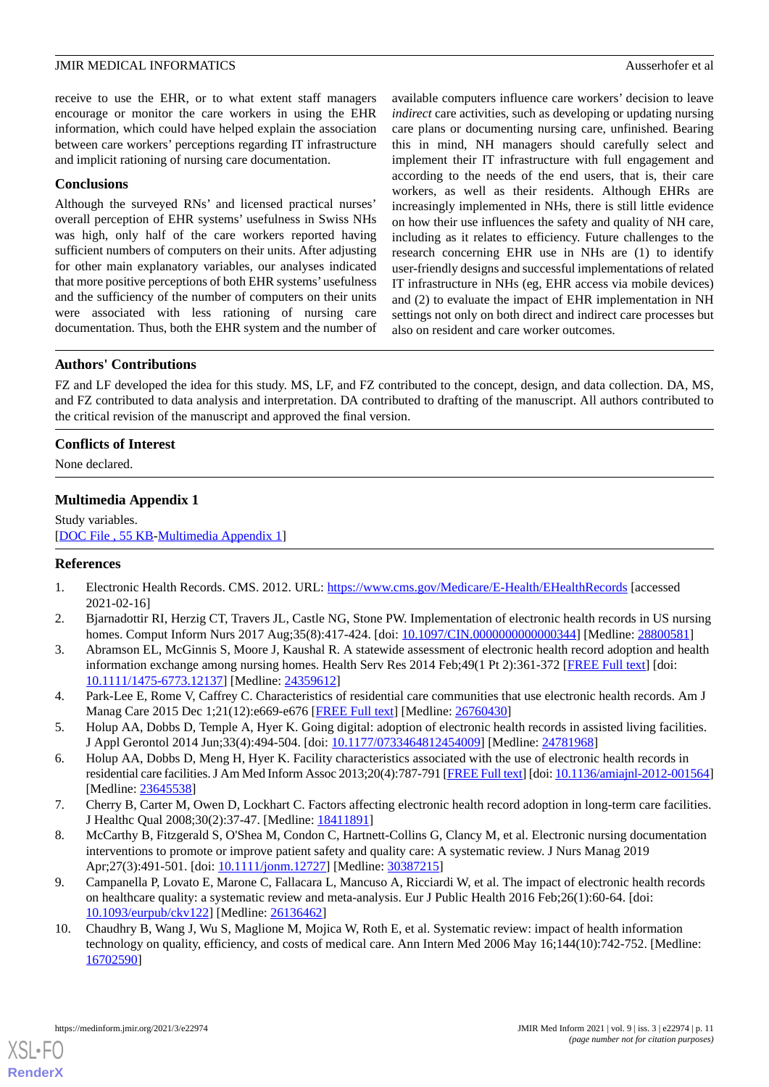receive to use the EHR, or to what extent staff managers encourage or monitor the care workers in using the EHR information, which could have helped explain the association between care workers' perceptions regarding IT infrastructure and implicit rationing of nursing care documentation.

### **Conclusions**

Although the surveyed RNs' and licensed practical nurses' overall perception of EHR systems' usefulness in Swiss NHs was high, only half of the care workers reported having sufficient numbers of computers on their units. After adjusting for other main explanatory variables, our analyses indicated that more positive perceptions of both EHR systems'usefulness and the sufficiency of the number of computers on their units were associated with less rationing of nursing care documentation. Thus, both the EHR system and the number of available computers influence care workers' decision to leave *indirect* care activities, such as developing or updating nursing care plans or documenting nursing care, unfinished. Bearing this in mind, NH managers should carefully select and implement their IT infrastructure with full engagement and according to the needs of the end users, that is, their care workers, as well as their residents. Although EHRs are increasingly implemented in NHs, there is still little evidence on how their use influences the safety and quality of NH care, including as it relates to efficiency. Future challenges to the research concerning EHR use in NHs are (1) to identify user-friendly designs and successful implementations of related IT infrastructure in NHs (eg, EHR access via mobile devices) and (2) to evaluate the impact of EHR implementation in NH settings not only on both direct and indirect care processes but also on resident and care worker outcomes.

### **Authors' Contributions**

FZ and LF developed the idea for this study. MS, LF, and FZ contributed to the concept, design, and data collection. DA, MS, and FZ contributed to data analysis and interpretation. DA contributed to drafting of the manuscript. All authors contributed to the critical revision of the manuscript and approved the final version.

### <span id="page-10-5"></span>**Conflicts of Interest**

None declared.

### **Multimedia Appendix 1**

<span id="page-10-0"></span>Study variables. [[DOC File , 55 KB-Multimedia Appendix 1](https://jmir.org/api/download?alt_name=medinform_v9i3e22974_app1.doc&filename=d91be12748e08500671466ddaf62c7a7.doc)]

### <span id="page-10-1"></span>**References**

- 1. Electronic Health Records. CMS. 2012. URL:<https://www.cms.gov/Medicare/E-Health/EHealthRecords> [accessed] 2021-02-16]
- 2. Bjarnadottir RI, Herzig CT, Travers JL, Castle NG, Stone PW. Implementation of electronic health records in US nursing homes. Comput Inform Nurs 2017 Aug;35(8):417-424. [doi: [10.1097/CIN.0000000000000344](http://dx.doi.org/10.1097/CIN.0000000000000344)] [Medline: [28800581](http://www.ncbi.nlm.nih.gov/entrez/query.fcgi?cmd=Retrieve&db=PubMed&list_uids=28800581&dopt=Abstract)]
- 3. Abramson EL, McGinnis S, Moore J, Kaushal R. A statewide assessment of electronic health record adoption and health information exchange among nursing homes. Health Serv Res 2014 Feb;49(1 Pt 2):361-372 [\[FREE Full text\]](http://europepmc.org/abstract/MED/24359612) [doi: [10.1111/1475-6773.12137\]](http://dx.doi.org/10.1111/1475-6773.12137) [Medline: [24359612](http://www.ncbi.nlm.nih.gov/entrez/query.fcgi?cmd=Retrieve&db=PubMed&list_uids=24359612&dopt=Abstract)]
- <span id="page-10-2"></span>4. Park-Lee E, Rome V, Caffrey C. Characteristics of residential care communities that use electronic health records. Am J Manag Care 2015 Dec 1;21(12):e669-e676 [\[FREE Full text\]](https://www.ajmc.com/pubMed.php?pii=86483) [Medline: [26760430\]](http://www.ncbi.nlm.nih.gov/entrez/query.fcgi?cmd=Retrieve&db=PubMed&list_uids=26760430&dopt=Abstract)
- <span id="page-10-3"></span>5. Holup AA, Dobbs D, Temple A, Hyer K. Going digital: adoption of electronic health records in assisted living facilities. J Appl Gerontol 2014 Jun;33(4):494-504. [doi: [10.1177/0733464812454009](http://dx.doi.org/10.1177/0733464812454009)] [Medline: [24781968\]](http://www.ncbi.nlm.nih.gov/entrez/query.fcgi?cmd=Retrieve&db=PubMed&list_uids=24781968&dopt=Abstract)
- <span id="page-10-4"></span>6. Holup AA, Dobbs D, Meng H, Hyer K. Facility characteristics associated with the use of electronic health records in residential care facilities. J Am Med Inform Assoc 2013;20(4):787-791 [\[FREE Full text](http://europepmc.org/abstract/MED/23645538)] [doi: [10.1136/amiajnl-2012-001564](http://dx.doi.org/10.1136/amiajnl-2012-001564)] [Medline: [23645538](http://www.ncbi.nlm.nih.gov/entrez/query.fcgi?cmd=Retrieve&db=PubMed&list_uids=23645538&dopt=Abstract)]
- 7. Cherry B, Carter M, Owen D, Lockhart C. Factors affecting electronic health record adoption in long-term care facilities. J Healthc Qual 2008;30(2):37-47. [Medline: [18411891\]](http://www.ncbi.nlm.nih.gov/entrez/query.fcgi?cmd=Retrieve&db=PubMed&list_uids=18411891&dopt=Abstract)
- 8. McCarthy B, Fitzgerald S, O'Shea M, Condon C, Hartnett-Collins G, Clancy M, et al. Electronic nursing documentation interventions to promote or improve patient safety and quality care: A systematic review. J Nurs Manag 2019 Apr;27(3):491-501. [doi: [10.1111/jonm.12727](http://dx.doi.org/10.1111/jonm.12727)] [Medline: [30387215](http://www.ncbi.nlm.nih.gov/entrez/query.fcgi?cmd=Retrieve&db=PubMed&list_uids=30387215&dopt=Abstract)]
- 9. Campanella P, Lovato E, Marone C, Fallacara L, Mancuso A, Ricciardi W, et al. The impact of electronic health records on healthcare quality: a systematic review and meta-analysis. Eur J Public Health 2016 Feb;26(1):60-64. [doi: [10.1093/eurpub/ckv122\]](http://dx.doi.org/10.1093/eurpub/ckv122) [Medline: [26136462\]](http://www.ncbi.nlm.nih.gov/entrez/query.fcgi?cmd=Retrieve&db=PubMed&list_uids=26136462&dopt=Abstract)
- 10. Chaudhry B, Wang J, Wu S, Maglione M, Mojica W, Roth E, et al. Systematic review: impact of health information technology on quality, efficiency, and costs of medical care. Ann Intern Med 2006 May 16;144(10):742-752. [Medline: [16702590](http://www.ncbi.nlm.nih.gov/entrez/query.fcgi?cmd=Retrieve&db=PubMed&list_uids=16702590&dopt=Abstract)]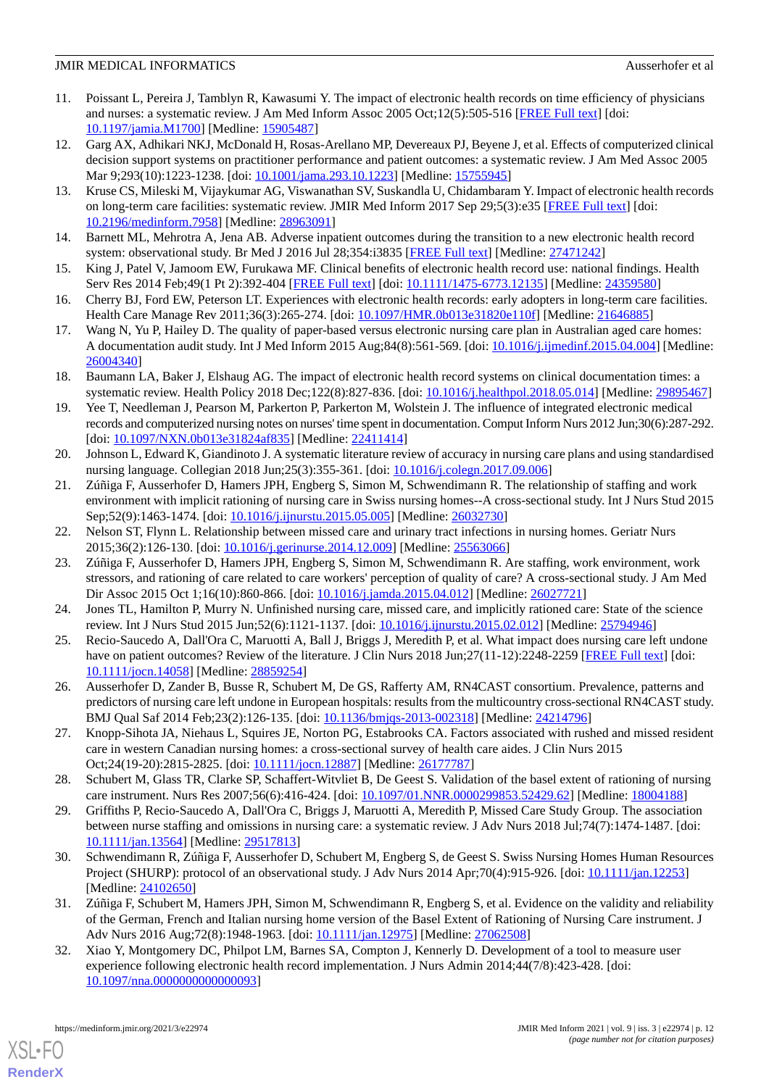- 11. Poissant L, Pereira J, Tamblyn R, Kawasumi Y. The impact of electronic health records on time efficiency of physicians and nurses: a systematic review. J Am Med Inform Assoc 2005 Oct;12(5):505-516 [\[FREE Full text\]](http://jamia.oxfordjournals.org/lookup/pmidlookup?view=long&pmid=15905487) [doi: [10.1197/jamia.M1700](http://dx.doi.org/10.1197/jamia.M1700)] [Medline: [15905487](http://www.ncbi.nlm.nih.gov/entrez/query.fcgi?cmd=Retrieve&db=PubMed&list_uids=15905487&dopt=Abstract)]
- <span id="page-11-20"></span>12. Garg AX, Adhikari NKJ, McDonald H, Rosas-Arellano MP, Devereaux PJ, Beyene J, et al. Effects of computerized clinical decision support systems on practitioner performance and patient outcomes: a systematic review. J Am Med Assoc 2005 Mar 9;293(10):1223-1238. [doi: [10.1001/jama.293.10.1223\]](http://dx.doi.org/10.1001/jama.293.10.1223) [Medline: [15755945\]](http://www.ncbi.nlm.nih.gov/entrez/query.fcgi?cmd=Retrieve&db=PubMed&list_uids=15755945&dopt=Abstract)
- <span id="page-11-0"></span>13. Kruse CS, Mileski M, Vijaykumar AG, Viswanathan SV, Suskandla U, Chidambaram Y. Impact of electronic health records on long-term care facilities: systematic review. JMIR Med Inform 2017 Sep 29;5(3):e35 [\[FREE Full text\]](http://medinform.jmir.org/2017/3/e35/) [doi: [10.2196/medinform.7958\]](http://dx.doi.org/10.2196/medinform.7958) [Medline: [28963091](http://www.ncbi.nlm.nih.gov/entrez/query.fcgi?cmd=Retrieve&db=PubMed&list_uids=28963091&dopt=Abstract)]
- <span id="page-11-2"></span><span id="page-11-1"></span>14. Barnett ML, Mehrotra A, Jena AB. Adverse inpatient outcomes during the transition to a new electronic health record system: observational study. Br Med J 2016 Jul 28;354:i3835 [\[FREE Full text\]](http://www.bmj.com/cgi/pmidlookup?view=long&pmid=27471242) [Medline: [27471242\]](http://www.ncbi.nlm.nih.gov/entrez/query.fcgi?cmd=Retrieve&db=PubMed&list_uids=27471242&dopt=Abstract)
- <span id="page-11-3"></span>15. King J, Patel V, Jamoom EW, Furukawa MF. Clinical benefits of electronic health record use: national findings. Health Serv Res 2014 Feb;49(1 Pt 2):392-404 [\[FREE Full text\]](http://europepmc.org/abstract/MED/24359580) [doi: [10.1111/1475-6773.12135\]](http://dx.doi.org/10.1111/1475-6773.12135) [Medline: [24359580\]](http://www.ncbi.nlm.nih.gov/entrez/query.fcgi?cmd=Retrieve&db=PubMed&list_uids=24359580&dopt=Abstract)
- <span id="page-11-4"></span>16. Cherry BJ, Ford EW, Peterson LT. Experiences with electronic health records: early adopters in long-term care facilities. Health Care Manage Rev 2011;36(3):265-274. [doi: [10.1097/HMR.0b013e31820e110f\]](http://dx.doi.org/10.1097/HMR.0b013e31820e110f) [Medline: [21646885\]](http://www.ncbi.nlm.nih.gov/entrez/query.fcgi?cmd=Retrieve&db=PubMed&list_uids=21646885&dopt=Abstract)
- <span id="page-11-5"></span>17. Wang N, Yu P, Hailey D. The quality of paper-based versus electronic nursing care plan in Australian aged care homes: A documentation audit study. Int J Med Inform 2015 Aug;84(8):561-569. [doi: [10.1016/j.ijmedinf.2015.04.004\]](http://dx.doi.org/10.1016/j.ijmedinf.2015.04.004) [Medline: [26004340](http://www.ncbi.nlm.nih.gov/entrez/query.fcgi?cmd=Retrieve&db=PubMed&list_uids=26004340&dopt=Abstract)]
- <span id="page-11-6"></span>18. Baumann LA, Baker J, Elshaug AG. The impact of electronic health record systems on clinical documentation times: a systematic review. Health Policy 2018 Dec;122(8):827-836. [doi: [10.1016/j.healthpol.2018.05.014](http://dx.doi.org/10.1016/j.healthpol.2018.05.014)] [Medline: [29895467\]](http://www.ncbi.nlm.nih.gov/entrez/query.fcgi?cmd=Retrieve&db=PubMed&list_uids=29895467&dopt=Abstract)
- <span id="page-11-7"></span>19. Yee T, Needleman J, Pearson M, Parkerton P, Parkerton M, Wolstein J. The influence of integrated electronic medical records and computerized nursing notes on nurses' time spent in documentation. Comput Inform Nurs 2012 Jun;30(6):287-292. [doi: [10.1097/NXN.0b013e31824af835\]](http://dx.doi.org/10.1097/NXN.0b013e31824af835) [Medline: [22411414](http://www.ncbi.nlm.nih.gov/entrez/query.fcgi?cmd=Retrieve&db=PubMed&list_uids=22411414&dopt=Abstract)]
- <span id="page-11-8"></span>20. Johnson L, Edward K, Giandinoto J. A systematic literature review of accuracy in nursing care plans and using standardised nursing language. Collegian 2018 Jun;25(3):355-361. [doi: [10.1016/j.colegn.2017.09.006](http://dx.doi.org/10.1016/j.colegn.2017.09.006)]
- <span id="page-11-10"></span><span id="page-11-9"></span>21. Zúñiga F, Ausserhofer D, Hamers JPH, Engberg S, Simon M, Schwendimann R. The relationship of staffing and work environment with implicit rationing of nursing care in Swiss nursing homes--A cross-sectional study. Int J Nurs Stud 2015 Sep;52(9):1463-1474. [doi: [10.1016/j.ijnurstu.2015.05.005](http://dx.doi.org/10.1016/j.ijnurstu.2015.05.005)] [Medline: [26032730\]](http://www.ncbi.nlm.nih.gov/entrez/query.fcgi?cmd=Retrieve&db=PubMed&list_uids=26032730&dopt=Abstract)
- 22. Nelson ST, Flynn L. Relationship between missed care and urinary tract infections in nursing homes. Geriatr Nurs 2015;36(2):126-130. [doi: [10.1016/j.gerinurse.2014.12.009\]](http://dx.doi.org/10.1016/j.gerinurse.2014.12.009) [Medline: [25563066\]](http://www.ncbi.nlm.nih.gov/entrez/query.fcgi?cmd=Retrieve&db=PubMed&list_uids=25563066&dopt=Abstract)
- <span id="page-11-12"></span><span id="page-11-11"></span>23. Zúñiga F, Ausserhofer D, Hamers JPH, Engberg S, Simon M, Schwendimann R. Are staffing, work environment, work stressors, and rationing of care related to care workers' perception of quality of care? A cross-sectional study. J Am Med Dir Assoc 2015 Oct 1;16(10):860-866. [doi: [10.1016/j.jamda.2015.04.012](http://dx.doi.org/10.1016/j.jamda.2015.04.012)] [Medline: [26027721\]](http://www.ncbi.nlm.nih.gov/entrez/query.fcgi?cmd=Retrieve&db=PubMed&list_uids=26027721&dopt=Abstract)
- <span id="page-11-13"></span>24. Jones TL, Hamilton P, Murry N. Unfinished nursing care, missed care, and implicitly rationed care: State of the science review. Int J Nurs Stud 2015 Jun;52(6):1121-1137. [doi: [10.1016/j.ijnurstu.2015.02.012](http://dx.doi.org/10.1016/j.ijnurstu.2015.02.012)] [Medline: [25794946](http://www.ncbi.nlm.nih.gov/entrez/query.fcgi?cmd=Retrieve&db=PubMed&list_uids=25794946&dopt=Abstract)]
- <span id="page-11-14"></span>25. Recio-Saucedo A, Dall'Ora C, Maruotti A, Ball J, Briggs J, Meredith P, et al. What impact does nursing care left undone have on patient outcomes? Review of the literature. J Clin Nurs 2018 Jun;27(11-12):2248-2259 [\[FREE Full text\]](http://europepmc.org/abstract/MED/28859254) [doi: [10.1111/jocn.14058](http://dx.doi.org/10.1111/jocn.14058)] [Medline: [28859254](http://www.ncbi.nlm.nih.gov/entrez/query.fcgi?cmd=Retrieve&db=PubMed&list_uids=28859254&dopt=Abstract)]
- <span id="page-11-15"></span>26. Ausserhofer D, Zander B, Busse R, Schubert M, De GS, Rafferty AM, RN4CAST consortium. Prevalence, patterns and predictors of nursing care left undone in European hospitals: results from the multicountry cross-sectional RN4CAST study. BMJ Qual Saf 2014 Feb;23(2):126-135. [doi: [10.1136/bmjqs-2013-002318](http://dx.doi.org/10.1136/bmjqs-2013-002318)] [Medline: [24214796\]](http://www.ncbi.nlm.nih.gov/entrez/query.fcgi?cmd=Retrieve&db=PubMed&list_uids=24214796&dopt=Abstract)
- <span id="page-11-16"></span>27. Knopp-Sihota JA, Niehaus L, Squires JE, Norton PG, Estabrooks CA. Factors associated with rushed and missed resident care in western Canadian nursing homes: a cross-sectional survey of health care aides. J Clin Nurs 2015 Oct;24(19-20):2815-2825. [doi: [10.1111/jocn.12887](http://dx.doi.org/10.1111/jocn.12887)] [Medline: [26177787](http://www.ncbi.nlm.nih.gov/entrez/query.fcgi?cmd=Retrieve&db=PubMed&list_uids=26177787&dopt=Abstract)]
- <span id="page-11-17"></span>28. Schubert M, Glass TR, Clarke SP, Schaffert-Witvliet B, De Geest S. Validation of the basel extent of rationing of nursing care instrument. Nurs Res 2007;56(6):416-424. [doi: [10.1097/01.NNR.0000299853.52429.62](http://dx.doi.org/10.1097/01.NNR.0000299853.52429.62)] [Medline: [18004188\]](http://www.ncbi.nlm.nih.gov/entrez/query.fcgi?cmd=Retrieve&db=PubMed&list_uids=18004188&dopt=Abstract)
- <span id="page-11-18"></span>29. Griffiths P, Recio-Saucedo A, Dall'Ora C, Briggs J, Maruotti A, Meredith P, Missed Care Study Group. The association between nurse staffing and omissions in nursing care: a systematic review. J Adv Nurs 2018 Jul;74(7):1474-1487. [doi: [10.1111/jan.13564\]](http://dx.doi.org/10.1111/jan.13564) [Medline: [29517813](http://www.ncbi.nlm.nih.gov/entrez/query.fcgi?cmd=Retrieve&db=PubMed&list_uids=29517813&dopt=Abstract)]
- <span id="page-11-19"></span>30. Schwendimann R, Zúñiga F, Ausserhofer D, Schubert M, Engberg S, de Geest S. Swiss Nursing Homes Human Resources Project (SHURP): protocol of an observational study. J Adv Nurs 2014 Apr;70(4):915-926. [doi: [10.1111/jan.12253](http://dx.doi.org/10.1111/jan.12253)] [Medline: [24102650](http://www.ncbi.nlm.nih.gov/entrez/query.fcgi?cmd=Retrieve&db=PubMed&list_uids=24102650&dopt=Abstract)]
- 31. Zúñiga F, Schubert M, Hamers JPH, Simon M, Schwendimann R, Engberg S, et al. Evidence on the validity and reliability of the German, French and Italian nursing home version of the Basel Extent of Rationing of Nursing Care instrument. J Adv Nurs 2016 Aug; 72(8): 1948-1963. [doi: [10.1111/jan.12975\]](http://dx.doi.org/10.1111/jan.12975) [Medline: [27062508\]](http://www.ncbi.nlm.nih.gov/entrez/query.fcgi?cmd=Retrieve&db=PubMed&list_uids=27062508&dopt=Abstract)
- 32. Xiao Y, Montgomery DC, Philpot LM, Barnes SA, Compton J, Kennerly D. Development of a tool to measure user experience following electronic health record implementation. J Nurs Admin 2014;44(7/8):423-428. [doi: [10.1097/nna.0000000000000093\]](http://dx.doi.org/10.1097/nna.0000000000000093)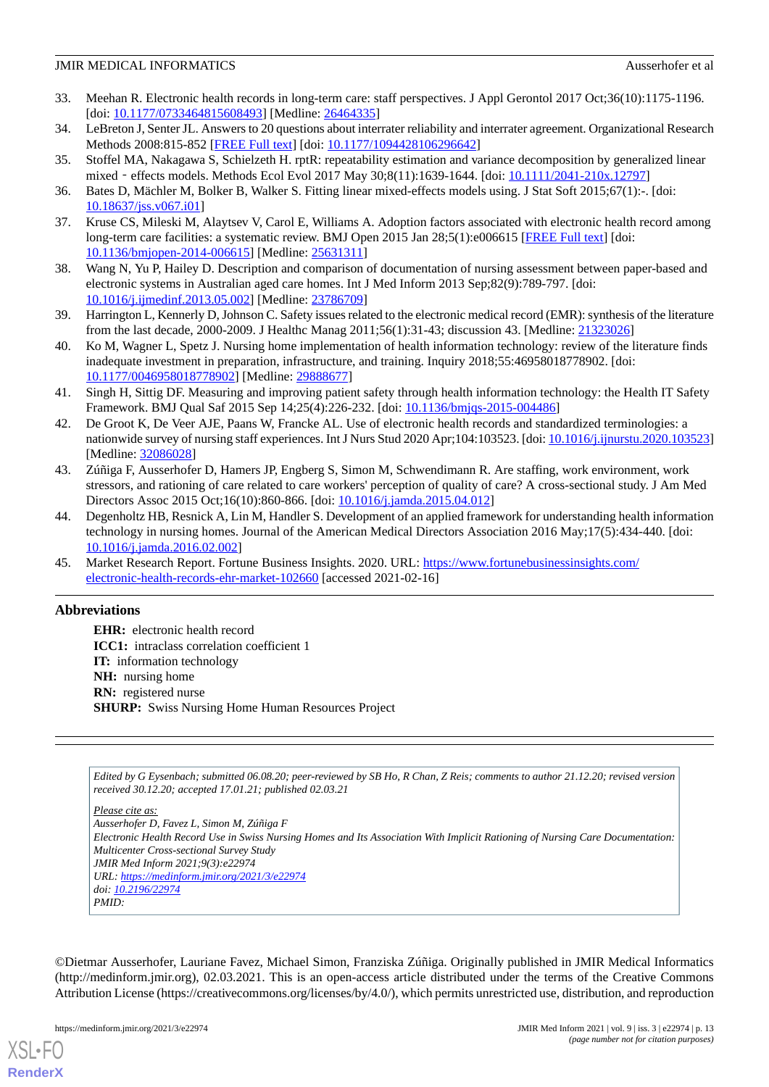- <span id="page-12-0"></span>33. Meehan R. Electronic health records in long-term care: staff perspectives. J Appl Gerontol 2017 Oct;36(10):1175-1196. [doi: [10.1177/0733464815608493](http://dx.doi.org/10.1177/0733464815608493)] [Medline: [26464335\]](http://www.ncbi.nlm.nih.gov/entrez/query.fcgi?cmd=Retrieve&db=PubMed&list_uids=26464335&dopt=Abstract)
- <span id="page-12-2"></span><span id="page-12-1"></span>34. LeBreton J, Senter JL. Answers to 20 questions about interrater reliability and interrater agreement. Organizational Research Methods 2008:815-852 [[FREE Full text](https://doi.org/10.1177/1094428106296642)] [doi: [10.1177/1094428106296642\]](http://dx.doi.org/10.1177/1094428106296642)
- <span id="page-12-3"></span>35. Stoffel MA, Nakagawa S, Schielzeth H. rptR: repeatability estimation and variance decomposition by generalized linear mixed - effects models. Methods Ecol Evol 2017 May 30;8(11):1639-1644. [doi: [10.1111/2041-210x.12797](http://dx.doi.org/10.1111/2041-210x.12797)]
- <span id="page-12-4"></span>36. Bates D, Mächler M, Bolker B, Walker S. Fitting linear mixed-effects models using. J Stat Soft 2015;67(1):-. [doi: [10.18637/jss.v067.i01](http://dx.doi.org/10.18637/jss.v067.i01)]
- <span id="page-12-5"></span>37. Kruse CS, Mileski M, Alaytsev V, Carol E, Williams A. Adoption factors associated with electronic health record among long-term care facilities: a systematic review. BMJ Open 2015 Jan 28;5(1):e006615 [[FREE Full text](http://bmjopen.bmj.com/cgi/pmidlookup?view=long&pmid=25631311)] [doi: [10.1136/bmjopen-2014-006615\]](http://dx.doi.org/10.1136/bmjopen-2014-006615) [Medline: [25631311](http://www.ncbi.nlm.nih.gov/entrez/query.fcgi?cmd=Retrieve&db=PubMed&list_uids=25631311&dopt=Abstract)]
- <span id="page-12-6"></span>38. Wang N, Yu P, Hailey D. Description and comparison of documentation of nursing assessment between paper-based and electronic systems in Australian aged care homes. Int J Med Inform 2013 Sep;82(9):789-797. [doi: [10.1016/j.ijmedinf.2013.05.002\]](http://dx.doi.org/10.1016/j.ijmedinf.2013.05.002) [Medline: [23786709](http://www.ncbi.nlm.nih.gov/entrez/query.fcgi?cmd=Retrieve&db=PubMed&list_uids=23786709&dopt=Abstract)]
- <span id="page-12-7"></span>39. Harrington L, Kennerly D, Johnson C. Safety issues related to the electronic medical record (EMR): synthesis of the literature from the last decade, 2000-2009. J Healthc Manag 2011;56(1):31-43; discussion 43. [Medline: [21323026\]](http://www.ncbi.nlm.nih.gov/entrez/query.fcgi?cmd=Retrieve&db=PubMed&list_uids=21323026&dopt=Abstract)
- <span id="page-12-8"></span>40. Ko M, Wagner L, Spetz J. Nursing home implementation of health information technology: review of the literature finds inadequate investment in preparation, infrastructure, and training. Inquiry 2018;55:46958018778902. [doi: [10.1177/0046958018778902\]](http://dx.doi.org/10.1177/0046958018778902) [Medline: [29888677\]](http://www.ncbi.nlm.nih.gov/entrez/query.fcgi?cmd=Retrieve&db=PubMed&list_uids=29888677&dopt=Abstract)
- <span id="page-12-9"></span>41. Singh H, Sittig DF. Measuring and improving patient safety through health information technology: the Health IT Safety Framework. BMJ Qual Saf 2015 Sep 14;25(4):226-232. [doi: [10.1136/bmjqs-2015-004486](http://dx.doi.org/10.1136/bmjqs-2015-004486)]
- <span id="page-12-10"></span>42. De Groot K, De Veer AJE, Paans W, Francke AL. Use of electronic health records and standardized terminologies: a nationwide survey of nursing staff experiences. Int J Nurs Stud 2020 Apr;104:103523. [doi: [10.1016/j.ijnurstu.2020.103523\]](http://dx.doi.org/10.1016/j.ijnurstu.2020.103523) [Medline: [32086028](http://www.ncbi.nlm.nih.gov/entrez/query.fcgi?cmd=Retrieve&db=PubMed&list_uids=32086028&dopt=Abstract)]
- <span id="page-12-11"></span>43. Zúñiga F, Ausserhofer D, Hamers JP, Engberg S, Simon M, Schwendimann R. Are staffing, work environment, work stressors, and rationing of care related to care workers' perception of quality of care? A cross-sectional study. J Am Med Directors Assoc 2015 Oct;16(10):860-866. [doi: [10.1016/j.jamda.2015.04.012\]](http://dx.doi.org/10.1016/j.jamda.2015.04.012)
- <span id="page-12-12"></span>44. Degenholtz HB, Resnick A, Lin M, Handler S. Development of an applied framework for understanding health information technology in nursing homes. Journal of the American Medical Directors Association 2016 May;17(5):434-440. [doi: [10.1016/j.jamda.2016.02.002](http://dx.doi.org/10.1016/j.jamda.2016.02.002)]
- 45. Market Research Report. Fortune Business Insights. 2020. URL: [https://www.fortunebusinessinsights.com/](https://www.fortunebusinessinsights.com/electronic-health-records-ehr-market-102660) [electronic-health-records-ehr-market-102660](https://www.fortunebusinessinsights.com/electronic-health-records-ehr-market-102660) [accessed 2021-02-16]

### **Abbreviations**

**EHR:** electronic health record **ICC1:** intraclass correlation coefficient 1 **IT:** information technology **NH:** nursing home **RN:** registered nurse **SHURP:** Swiss Nursing Home Human Resources Project

*Edited by G Eysenbach; submitted 06.08.20; peer-reviewed by SB Ho, R Chan, Z Reis; comments to author 21.12.20; revised version received 30.12.20; accepted 17.01.21; published 02.03.21*

*Please cite as: Ausserhofer D, Favez L, Simon M, Zúñiga F Electronic Health Record Use in Swiss Nursing Homes and Its Association With Implicit Rationing of Nursing Care Documentation: Multicenter Cross-sectional Survey Study JMIR Med Inform 2021;9(3):e22974 URL: <https://medinform.jmir.org/2021/3/e22974> doi: [10.2196/22974](http://dx.doi.org/10.2196/22974) PMID:*

©Dietmar Ausserhofer, Lauriane Favez, Michael Simon, Franziska Zúñiga. Originally published in JMIR Medical Informatics (http://medinform.jmir.org), 02.03.2021. This is an open-access article distributed under the terms of the Creative Commons Attribution License (https://creativecommons.org/licenses/by/4.0/), which permits unrestricted use, distribution, and reproduction